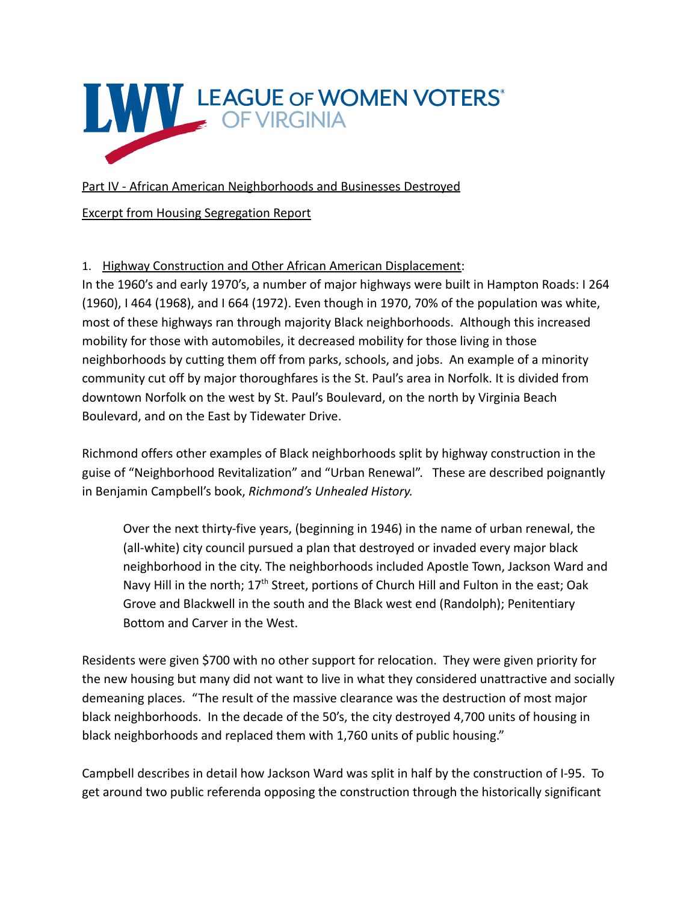

Part IV - African American Neighborhoods and Businesses Destroyed

Excerpt from Housing Segregation Report

1. Highway Construction and Other African American Displacement:

In the 1960's and early 1970's, a number of major highways were built in Hampton Roads: I 264 (1960), I 464 (1968), and I 664 (1972). Even though in 1970, 70% of the population was white, most of these highways ran through majority Black neighborhoods. Although this increased mobility for those with automobiles, it decreased mobility for those living in those neighborhoods by cutting them off from parks, schools, and jobs. An example of a minority community cut off by major thoroughfares is the St. Paul's area in Norfolk. It is divided from downtown Norfolk on the west by St. Paul's Boulevard, on the north by Virginia Beach Boulevard, and on the East by Tidewater Drive.

Richmond offers other examples of Black neighborhoods split by highway construction in the guise of "Neighborhood Revitalization" and "Urban Renewal". These are described poignantly in Benjamin Campbell's book, *Richmond's Unhealed History.*

Over the next thirty-five years, (beginning in 1946) in the name of urban renewal, the (all-white) city council pursued a plan that destroyed or invaded every major black neighborhood in the city. The neighborhoods included Apostle Town, Jackson Ward and Navy Hill in the north; 17<sup>th</sup> Street, portions of Church Hill and Fulton in the east; Oak Grove and Blackwell in the south and the Black west end (Randolph); Penitentiary Bottom and Carver in the West.

Residents were given \$700 with no other support for relocation. They were given priority for the new housing but many did not want to live in what they considered unattractive and socially demeaning places. "The result of the massive clearance was the destruction of most major black neighborhoods. In the decade of the 50's, the city destroyed 4,700 units of housing in black neighborhoods and replaced them with 1,760 units of public housing."

Campbell describes in detail how Jackson Ward was split in half by the construction of I-95. To get around two public referenda opposing the construction through the historically significant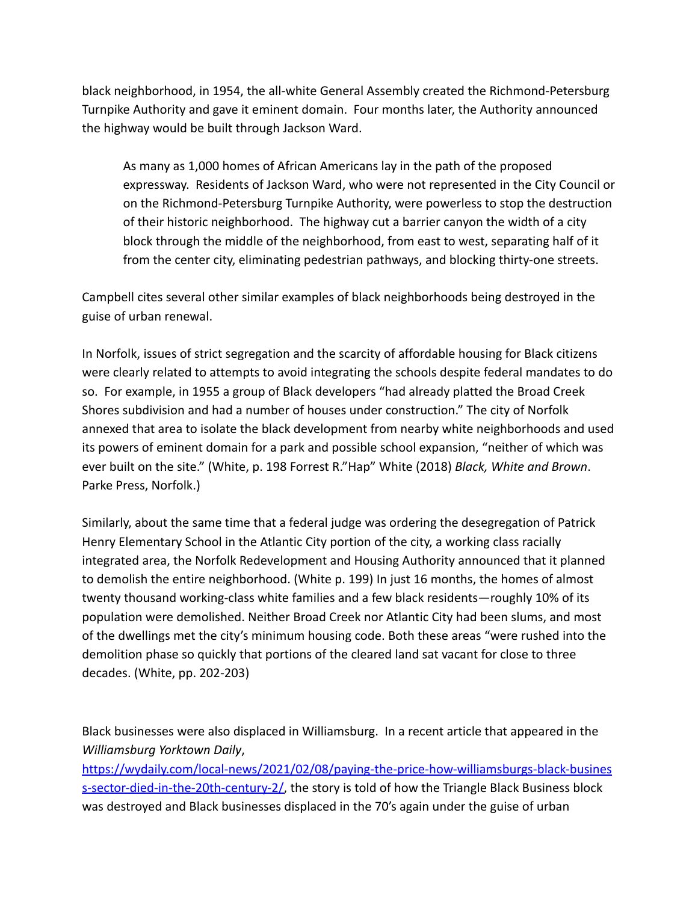black neighborhood, in 1954, the all-white General Assembly created the Richmond-Petersburg Turnpike Authority and gave it eminent domain. Four months later, the Authority announced the highway would be built through Jackson Ward.

As many as 1,000 homes of African Americans lay in the path of the proposed expressway. Residents of Jackson Ward, who were not represented in the City Council or on the Richmond-Petersburg Turnpike Authority, were powerless to stop the destruction of their historic neighborhood. The highway cut a barrier canyon the width of a city block through the middle of the neighborhood, from east to west, separating half of it from the center city, eliminating pedestrian pathways, and blocking thirty-one streets.

Campbell cites several other similar examples of black neighborhoods being destroyed in the guise of urban renewal.

In Norfolk, issues of strict segregation and the scarcity of affordable housing for Black citizens were clearly related to attempts to avoid integrating the schools despite federal mandates to do so. For example, in 1955 a group of Black developers "had already platted the Broad Creek Shores subdivision and had a number of houses under construction." The city of Norfolk annexed that area to isolate the black development from nearby white neighborhoods and used its powers of eminent domain for a park and possible school expansion, "neither of which was ever built on the site." (White, p. 198 Forrest R."Hap" White (2018) *Black, White and Brown*. Parke Press, Norfolk.)

Similarly, about the same time that a federal judge was ordering the desegregation of Patrick Henry Elementary School in the Atlantic City portion of the city, a working class racially integrated area, the Norfolk Redevelopment and Housing Authority announced that it planned to demolish the entire neighborhood. (White p. 199) In just 16 months, the homes of almost twenty thousand working-class white families and a few black residents—roughly 10% of its population were demolished. Neither Broad Creek nor Atlantic City had been slums, and most of the dwellings met the city's minimum housing code. Both these areas "were rushed into the demolition phase so quickly that portions of the cleared land sat vacant for close to three decades. (White, pp. 202-203)

Black businesses were also displaced in Williamsburg. In a recent article that appeared in the *Williamsburg Yorktown Daily*,

https://wydaily.com/local-news/2021/02/08/paying-the-price-how-williamsburgs-black-busines s-sector-died-in-the-20th-century-2/, the story is told of how the Triangle Black Business block was destroyed and Black businesses displaced in the 70's again under the guise of urban